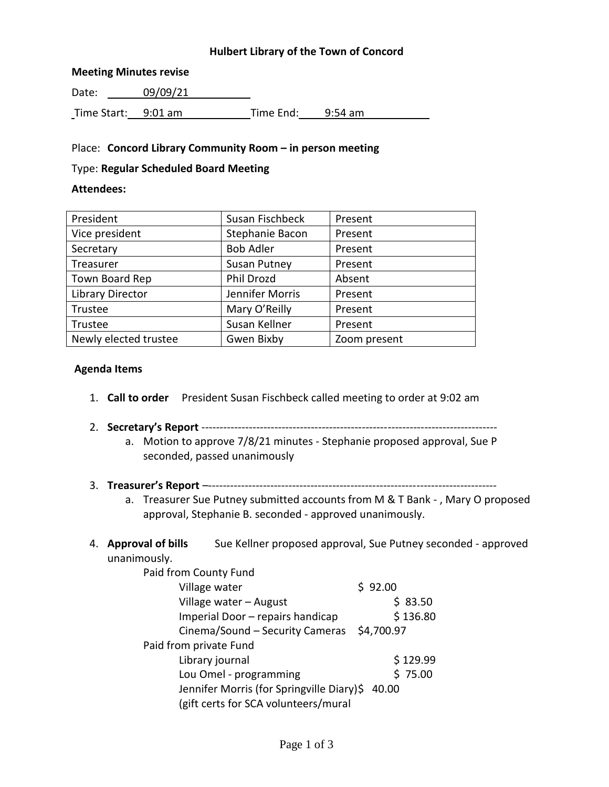## **Hulbert Library of the Town of Concord**

#### **Meeting Minutes revise**

Date: 09/09/21 Time Start: 9:01 am Time End: 9:54 am

#### Place: **Concord Library Community Room – in person meeting**

#### Type: **Regular Scheduled Board Meeting**

#### **Attendees:**

| President               | Susan Fischbeck     | Present      |
|-------------------------|---------------------|--------------|
| Vice president          | Stephanie Bacon     | Present      |
| Secretary               | <b>Bob Adler</b>    | Present      |
| Treasurer               | <b>Susan Putney</b> | Present      |
| Town Board Rep          | Phil Drozd          | Absent       |
| <b>Library Director</b> | Jennifer Morris     | Present      |
| Trustee                 | Mary O'Reilly       | Present      |
| Trustee                 | Susan Kellner       | Present      |
| Newly elected trustee   | Gwen Bixby          | Zoom present |

#### **Agenda Items**

- 1. **Call to order** President Susan Fischbeck called meeting to order at 9:02 am
- 2. **Secretary's Report** --------------------------------------------------------------------------------
	- a. Motion to approve 7/8/21 minutes Stephanie proposed approval, Sue P seconded, passed unanimously
- 3. **Treasurer's Report** –------------------------------------------------------------------------------
	- a. Treasurer Sue Putney submitted accounts from M & T Bank , Mary O proposed approval, Stephanie B. seconded - approved unanimously.
- 4. **Approval of bills** Sue Kellner proposed approval, Sue Putney seconded approved unanimously.

| Paid from County Fund                           |            |
|-------------------------------------------------|------------|
| Village water                                   | \$92.00    |
| Village water - August                          | \$83.50    |
| Imperial Door - repairs handicap                | \$136.80   |
| Cinema/Sound - Security Cameras                 | \$4,700.97 |
| Paid from private Fund                          |            |
| Library journal                                 | \$129.99   |
| Lou Omel - programming                          | \$75.00    |
| Jennifer Morris (for Springville Diary)\$ 40.00 |            |
| (gift certs for SCA volunteers/mural            |            |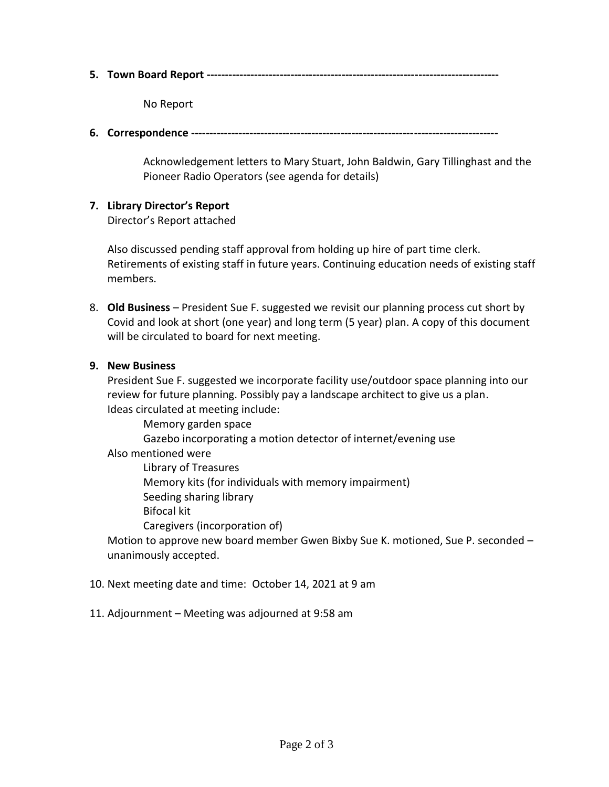**5. Town Board Report --------------------------------------------------------------------------------**

No Report

**6. Correspondence ------------------------------------------------------------------------------------**

Acknowledgement letters to Mary Stuart, John Baldwin, Gary Tillinghast and the Pioneer Radio Operators (see agenda for details)

## **7. Library Director's Report**

Director's Report attached

Also discussed pending staff approval from holding up hire of part time clerk. Retirements of existing staff in future years. Continuing education needs of existing staff members.

8. **Old Business** – President Sue F. suggested we revisit our planning process cut short by Covid and look at short (one year) and long term (5 year) plan. A copy of this document will be circulated to board for next meeting.

# **9. New Business**

President Sue F. suggested we incorporate facility use/outdoor space planning into our review for future planning. Possibly pay a landscape architect to give us a plan. Ideas circulated at meeting include:

Memory garden space

Gazebo incorporating a motion detector of internet/evening use

Also mentioned were

Library of Treasures

Memory kits (for individuals with memory impairment)

Seeding sharing library

Bifocal kit

Caregivers (incorporation of)

Motion to approve new board member Gwen Bixby Sue K. motioned, Sue P. seconded – unanimously accepted.

- 10. Next meeting date and time: October 14, 2021 at 9 am
- 11. Adjournment Meeting was adjourned at 9:58 am